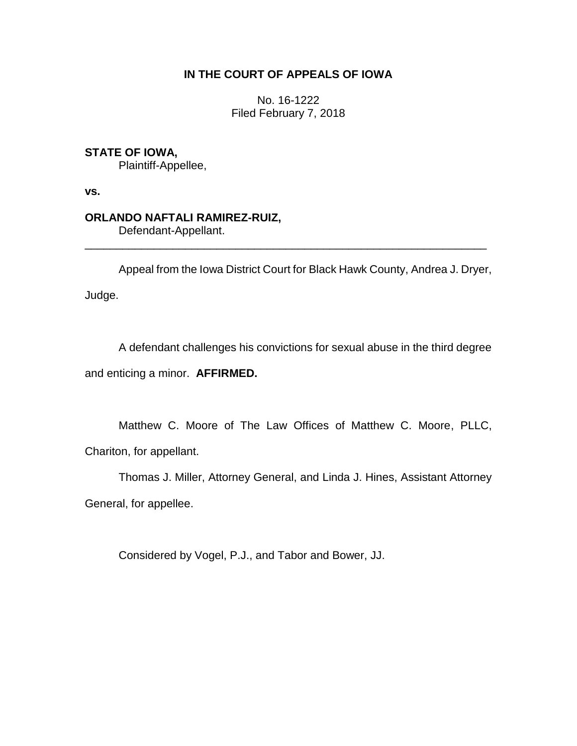# **IN THE COURT OF APPEALS OF IOWA**

No. 16-1222 Filed February 7, 2018

# **STATE OF IOWA,**

Plaintiff-Appellee,

**vs.**

# **ORLANDO NAFTALI RAMIREZ-RUIZ,**

Defendant-Appellant.

Appeal from the Iowa District Court for Black Hawk County, Andrea J. Dryer, Judge.

\_\_\_\_\_\_\_\_\_\_\_\_\_\_\_\_\_\_\_\_\_\_\_\_\_\_\_\_\_\_\_\_\_\_\_\_\_\_\_\_\_\_\_\_\_\_\_\_\_\_\_\_\_\_\_\_\_\_\_\_\_\_\_\_

A defendant challenges his convictions for sexual abuse in the third degree and enticing a minor. **AFFIRMED.**

Matthew C. Moore of The Law Offices of Matthew C. Moore, PLLC, Chariton, for appellant.

Thomas J. Miller, Attorney General, and Linda J. Hines, Assistant Attorney General, for appellee.

Considered by Vogel, P.J., and Tabor and Bower, JJ.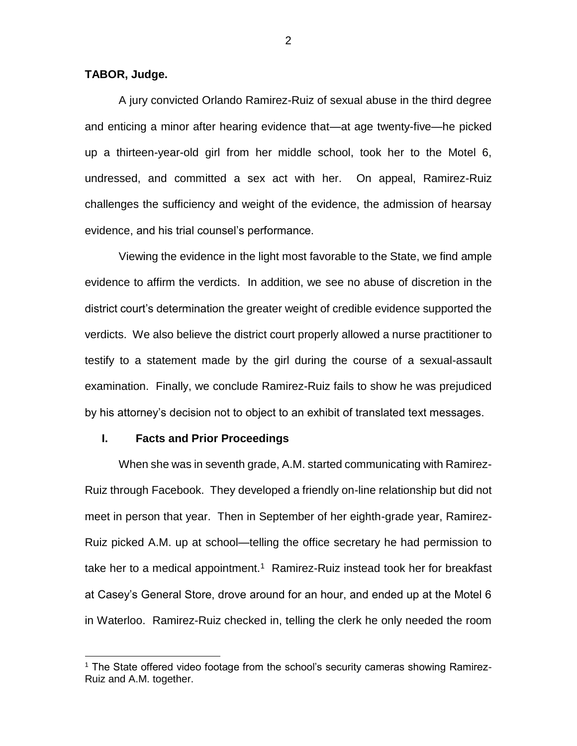#### **TABOR, Judge.**

A jury convicted Orlando Ramirez-Ruiz of sexual abuse in the third degree and enticing a minor after hearing evidence that—at age twenty-five—he picked up a thirteen-year-old girl from her middle school, took her to the Motel 6, undressed, and committed a sex act with her. On appeal, Ramirez-Ruiz challenges the sufficiency and weight of the evidence, the admission of hearsay evidence, and his trial counsel's performance.

Viewing the evidence in the light most favorable to the State, we find ample evidence to affirm the verdicts. In addition, we see no abuse of discretion in the district court's determination the greater weight of credible evidence supported the verdicts. We also believe the district court properly allowed a nurse practitioner to testify to a statement made by the girl during the course of a sexual-assault examination. Finally, we conclude Ramirez-Ruiz fails to show he was prejudiced by his attorney's decision not to object to an exhibit of translated text messages.

# **I. Facts and Prior Proceedings**

 $\overline{a}$ 

When she was in seventh grade, A.M. started communicating with Ramirez-Ruiz through Facebook. They developed a friendly on-line relationship but did not meet in person that year. Then in September of her eighth-grade year, Ramirez-Ruiz picked A.M. up at school—telling the office secretary he had permission to take her to a medical appointment.<sup>1</sup> Ramirez-Ruiz instead took her for breakfast at Casey's General Store, drove around for an hour, and ended up at the Motel 6 in Waterloo. Ramirez-Ruiz checked in, telling the clerk he only needed the room

<sup>&</sup>lt;sup>1</sup> The State offered video footage from the school's security cameras showing Ramirez-Ruiz and A.M. together.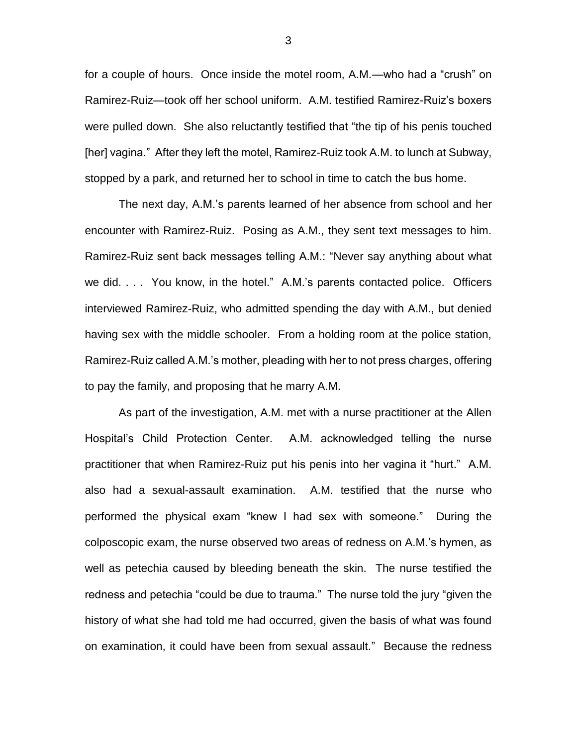for a couple of hours. Once inside the motel room, A.M.—who had a "crush" on Ramirez-Ruiz—took off her school uniform. A.M. testified Ramirez-Ruiz's boxers were pulled down. She also reluctantly testified that "the tip of his penis touched [her] vagina." After they left the motel, Ramirez-Ruiz took A.M. to lunch at Subway, stopped by a park, and returned her to school in time to catch the bus home.

The next day, A.M.'s parents learned of her absence from school and her encounter with Ramirez-Ruiz. Posing as A.M., they sent text messages to him. Ramirez-Ruiz sent back messages telling A.M.: "Never say anything about what we did. . . . You know, in the hotel." A.M.'s parents contacted police. Officers interviewed Ramirez-Ruiz, who admitted spending the day with A.M., but denied having sex with the middle schooler. From a holding room at the police station, Ramirez-Ruiz called A.M.'s mother, pleading with her to not press charges, offering to pay the family, and proposing that he marry A.M.

As part of the investigation, A.M. met with a nurse practitioner at the Allen Hospital's Child Protection Center. A.M. acknowledged telling the nurse practitioner that when Ramirez-Ruiz put his penis into her vagina it "hurt." A.M. also had a sexual-assault examination. A.M. testified that the nurse who performed the physical exam "knew I had sex with someone." During the colposcopic exam, the nurse observed two areas of redness on A.M.'s hymen, as well as petechia caused by bleeding beneath the skin. The nurse testified the redness and petechia "could be due to trauma." The nurse told the jury "given the history of what she had told me had occurred, given the basis of what was found on examination, it could have been from sexual assault." Because the redness

3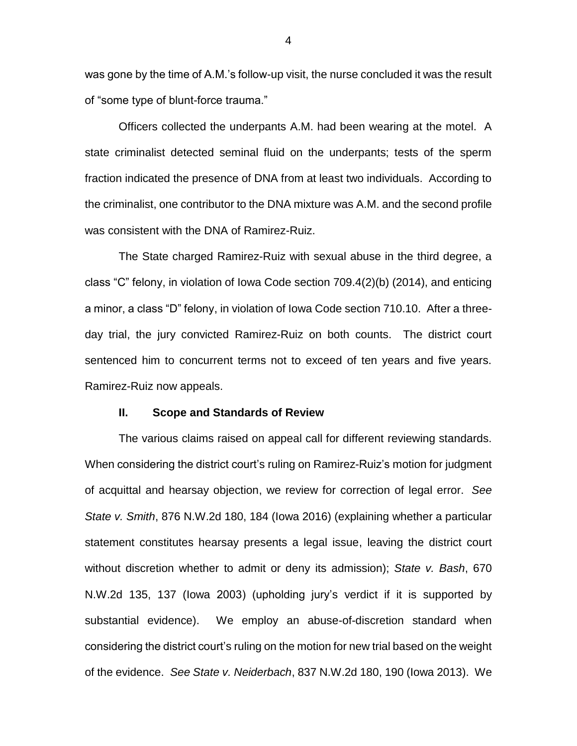was gone by the time of A.M.'s follow-up visit, the nurse concluded it was the result of "some type of blunt-force trauma."

Officers collected the underpants A.M. had been wearing at the motel. A state criminalist detected seminal fluid on the underpants; tests of the sperm fraction indicated the presence of DNA from at least two individuals. According to the criminalist, one contributor to the DNA mixture was A.M. and the second profile was consistent with the DNA of Ramirez-Ruiz.

The State charged Ramirez-Ruiz with sexual abuse in the third degree, a class "C" felony, in violation of Iowa Code section 709.4(2)(b) (2014), and enticing a minor, a class "D" felony, in violation of Iowa Code section 710.10. After a threeday trial, the jury convicted Ramirez-Ruiz on both counts. The district court sentenced him to concurrent terms not to exceed of ten years and five years. Ramirez-Ruiz now appeals.

#### **II. Scope and Standards of Review**

The various claims raised on appeal call for different reviewing standards. When considering the district court's ruling on Ramirez-Ruiz's motion for judgment of acquittal and hearsay objection, we review for correction of legal error. *See State v. Smith*, 876 N.W.2d 180, 184 (Iowa 2016) (explaining whether a particular statement constitutes hearsay presents a legal issue, leaving the district court without discretion whether to admit or deny its admission); *State v. Bash*, 670 N.W.2d 135, 137 (Iowa 2003) (upholding jury's verdict if it is supported by substantial evidence). We employ an abuse-of-discretion standard when considering the district court's ruling on the motion for new trial based on the weight of the evidence. *See State v. Neiderbach*, 837 N.W.2d 180, 190 (Iowa 2013). We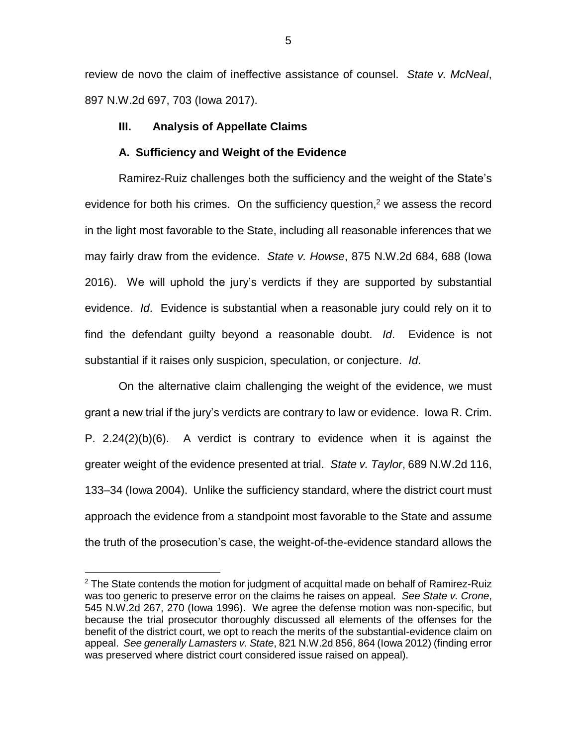review de novo the claim of ineffective assistance of counsel. *State v. McNeal*, 897 N.W.2d 697, 703 (Iowa 2017).

### **III. Analysis of Appellate Claims**

#### **A. Sufficiency and Weight of the Evidence**

Ramirez-Ruiz challenges both the sufficiency and the weight of the State's evidence for both his crimes. On the sufficiency question, $2$  we assess the record in the light most favorable to the State, including all reasonable inferences that we may fairly draw from the evidence. *State v. Howse*, 875 N.W.2d 684, 688 (Iowa 2016). We will uphold the jury's verdicts if they are supported by substantial evidence. *Id*. Evidence is substantial when a reasonable jury could rely on it to find the defendant guilty beyond a reasonable doubt. *Id*. Evidence is not substantial if it raises only suspicion, speculation, or conjecture. *Id*.

On the alternative claim challenging the weight of the evidence, we must grant a new trial if the jury's verdicts are contrary to law or evidence. Iowa R. Crim. P. 2.24(2)(b)(6). A verdict is contrary to evidence when it is against the greater weight of the evidence presented at trial. *State v. Taylor*, 689 N.W.2d 116, 133–34 (Iowa 2004). Unlike the sufficiency standard, where the district court must approach the evidence from a standpoint most favorable to the State and assume the truth of the prosecution's case, the weight-of-the-evidence standard allows the

 $\overline{a}$ 

 $2$  The State contends the motion for judgment of acquittal made on behalf of Ramirez-Ruiz was too generic to preserve error on the claims he raises on appeal. *See State v. Crone*, 545 N.W.2d 267, 270 (Iowa 1996). We agree the defense motion was non-specific, but because the trial prosecutor thoroughly discussed all elements of the offenses for the benefit of the district court, we opt to reach the merits of the substantial-evidence claim on appeal. *See generally Lamasters v. State*, 821 N.W.2d 856, 864 (Iowa 2012) (finding error was preserved where district court considered issue raised on appeal).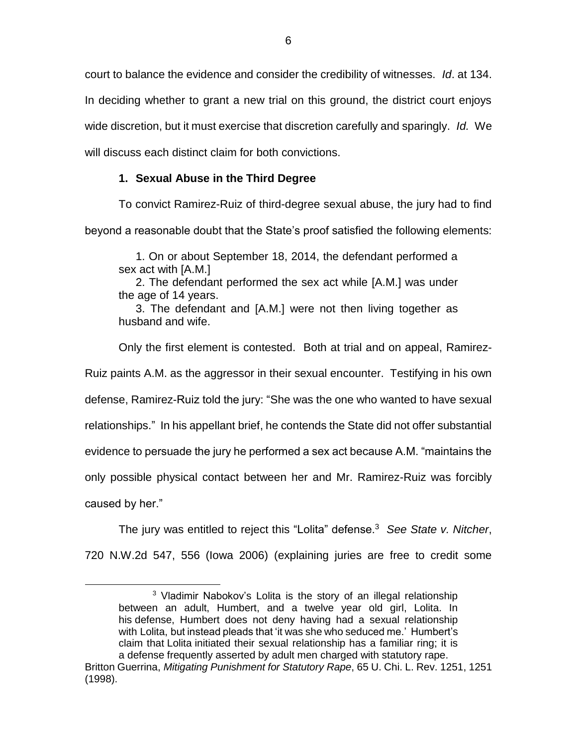court to balance the evidence and consider the credibility of witnesses. *Id*. at 134. In deciding whether to grant a new trial on this ground, the district court enjoys wide discretion, but it must exercise that discretion carefully and sparingly. *Id.* We will discuss each distinct claim for both convictions.

# **1. Sexual Abuse in the Third Degree**

To convict Ramirez-Ruiz of third-degree sexual abuse, the jury had to find beyond a reasonable doubt that the State's proof satisfied the following elements:

1. On or about September 18, 2014, the defendant performed a sex act with [A.M.]

2. The defendant performed the sex act while [A.M.] was under the age of 14 years.

3. The defendant and [A.M.] were not then living together as husband and wife.

Only the first element is contested. Both at trial and on appeal, Ramirez-Ruiz paints A.M. as the aggressor in their sexual encounter. Testifying in his own defense, Ramirez-Ruiz told the jury: "She was the one who wanted to have sexual relationships." In his appellant brief, he contends the State did not offer substantial evidence to persuade the jury he performed a sex act because A.M. "maintains the only possible physical contact between her and Mr. Ramirez-Ruiz was forcibly caused by her."

The jury was entitled to reject this "Lolita" defense.<sup>3</sup> *See State v. Nitcher*, 720 N.W.2d 547, 556 (Iowa 2006) (explaining juries are free to credit some

 $\overline{a}$ 

<sup>&</sup>lt;sup>3</sup> Vladimir Nabokov's Lolita is the story of an illegal relationship between an adult, Humbert, and a twelve year old girl, Lolita. In his defense, Humbert does not deny having had a sexual relationship with Lolita, but instead pleads that 'it was she who seduced me.' Humbert's claim that Lolita initiated their sexual relationship has a familiar ring; it is a defense frequently asserted by adult men charged with statutory rape.

Britton Guerrina, *Mitigating Punishment for Statutory Rape*, 65 U. Chi. L. Rev. 1251, 1251 (1998).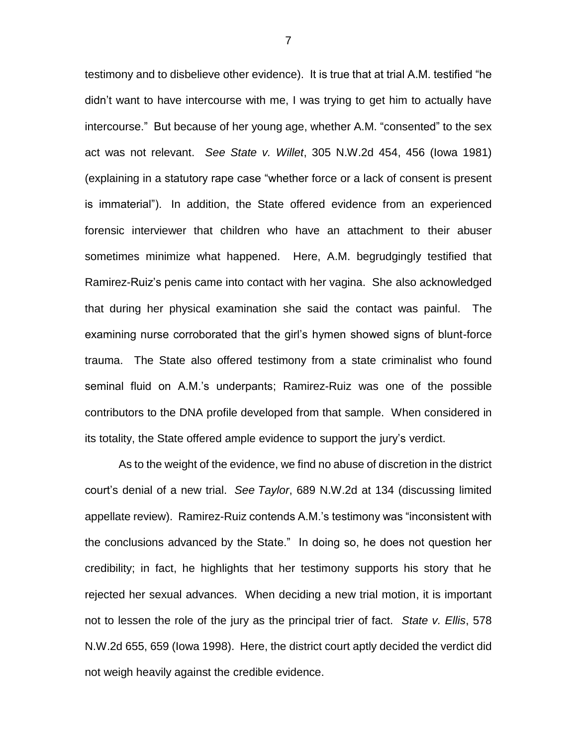testimony and to disbelieve other evidence). It is true that at trial A.M. testified "he didn't want to have intercourse with me, I was trying to get him to actually have intercourse." But because of her young age, whether A.M. "consented" to the sex act was not relevant. *See State v. Willet*, 305 N.W.2d 454, 456 (Iowa 1981) (explaining in a statutory rape case "whether force or a lack of consent is present is immaterial"). In addition, the State offered evidence from an experienced forensic interviewer that children who have an attachment to their abuser sometimes minimize what happened. Here, A.M. begrudgingly testified that Ramirez-Ruiz's penis came into contact with her vagina. She also acknowledged that during her physical examination she said the contact was painful. The examining nurse corroborated that the girl's hymen showed signs of blunt-force trauma. The State also offered testimony from a state criminalist who found seminal fluid on A.M.'s underpants; Ramirez-Ruiz was one of the possible contributors to the DNA profile developed from that sample. When considered in its totality, the State offered ample evidence to support the jury's verdict.

As to the weight of the evidence, we find no abuse of discretion in the district court's denial of a new trial. *See Taylor*, 689 N.W.2d at 134 (discussing limited appellate review). Ramirez-Ruiz contends A.M.'s testimony was "inconsistent with the conclusions advanced by the State." In doing so, he does not question her credibility; in fact, he highlights that her testimony supports his story that he rejected her sexual advances. When deciding a new trial motion, it is important not to lessen the role of the jury as the principal trier of fact. *State v. Ellis*, 578 N.W.2d 655, 659 (Iowa 1998). Here, the district court aptly decided the verdict did not weigh heavily against the credible evidence.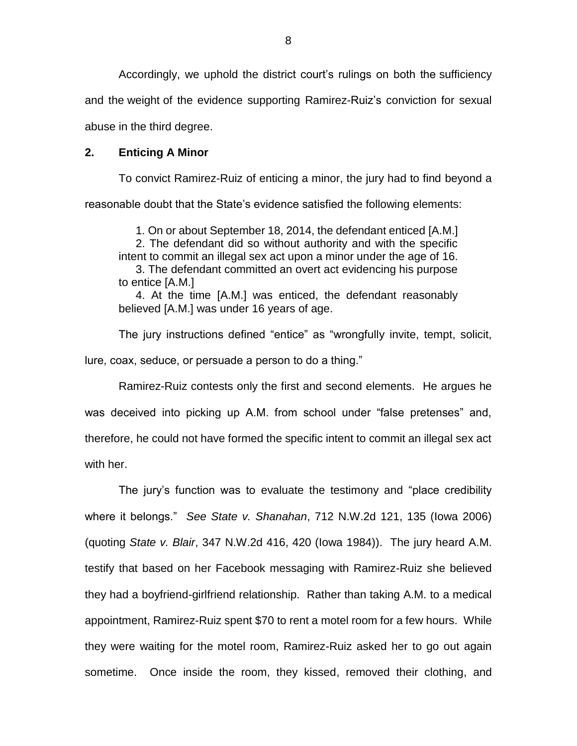Accordingly, we uphold the district court's rulings on both the sufficiency and the weight of the evidence supporting Ramirez-Ruiz's conviction for sexual abuse in the third degree.

### **2. Enticing A Minor**

To convict Ramirez-Ruiz of enticing a minor, the jury had to find beyond a reasonable doubt that the State's evidence satisfied the following elements:

1. On or about September 18, 2014, the defendant enticed [A.M.] 2. The defendant did so without authority and with the specific intent to commit an illegal sex act upon a minor under the age of 16. 3. The defendant committed an overt act evidencing his purpose to entice [A.M.]

4. At the time [A.M.] was enticed, the defendant reasonably believed [A.M.] was under 16 years of age.

The jury instructions defined "entice" as "wrongfully invite, tempt, solicit, lure, coax, seduce, or persuade a person to do a thing."

Ramirez-Ruiz contests only the first and second elements. He argues he was deceived into picking up A.M. from school under "false pretenses" and, therefore, he could not have formed the specific intent to commit an illegal sex act with her.

The jury's function was to evaluate the testimony and "place credibility where it belongs." *See State v. Shanahan*, 712 N.W.2d 121, 135 (Iowa 2006) (quoting *State v. Blair*, 347 N.W.2d 416, 420 (Iowa 1984)). The jury heard A.M. testify that based on her Facebook messaging with Ramirez-Ruiz she believed they had a boyfriend-girlfriend relationship. Rather than taking A.M. to a medical appointment, Ramirez-Ruiz spent \$70 to rent a motel room for a few hours. While they were waiting for the motel room, Ramirez-Ruiz asked her to go out again sometime. Once inside the room, they kissed, removed their clothing, and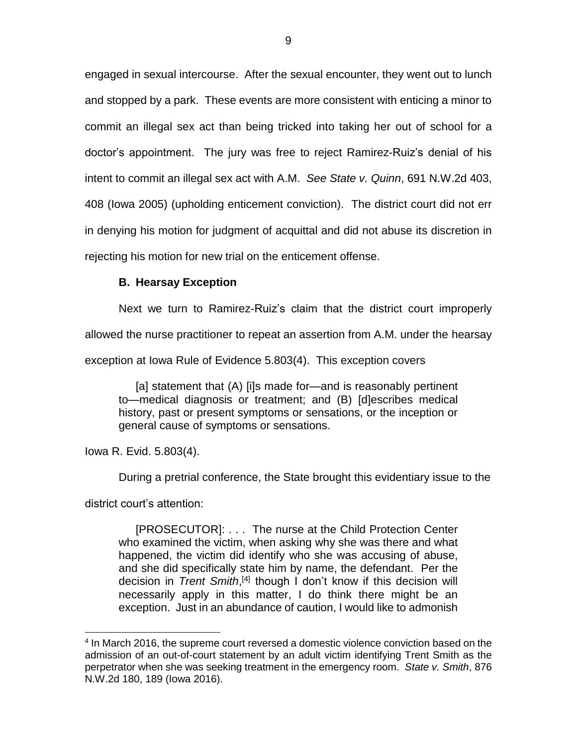engaged in sexual intercourse. After the sexual encounter, they went out to lunch and stopped by a park. These events are more consistent with enticing a minor to commit an illegal sex act than being tricked into taking her out of school for a doctor's appointment. The jury was free to reject Ramirez-Ruiz's denial of his intent to commit an illegal sex act with A.M. *See State v. Quinn*, 691 N.W.2d 403, 408 (Iowa 2005) (upholding enticement conviction). The district court did not err in denying his motion for judgment of acquittal and did not abuse its discretion in rejecting his motion for new trial on the enticement offense.

# **B. Hearsay Exception**

Next we turn to Ramirez-Ruiz's claim that the district court improperly

allowed the nurse practitioner to repeat an assertion from A.M. under the hearsay

exception at Iowa Rule of Evidence 5.803(4). This exception covers

[a] statement that (A) [i]s made for—and is reasonably pertinent to—medical diagnosis or treatment; and (B) [d]escribes medical history, past or present symptoms or sensations, or the inception or general cause of symptoms or sensations.

Iowa R. Evid. 5.803(4).

During a pretrial conference, the State brought this evidentiary issue to the

district court's attention:

 $\overline{a}$ 

[PROSECUTOR]: . . . The nurse at the Child Protection Center who examined the victim, when asking why she was there and what happened, the victim did identify who she was accusing of abuse, and she did specifically state him by name, the defendant. Per the decision in *Trent Smith*,<sup>[4]</sup> though I don't know if this decision will necessarily apply in this matter, I do think there might be an exception. Just in an abundance of caution, I would like to admonish

<sup>&</sup>lt;sup>4</sup> In March 2016, the supreme court reversed a domestic violence conviction based on the admission of an out-of-court statement by an adult victim identifying Trent Smith as the perpetrator when she was seeking treatment in the emergency room. *State v. Smith*, 876 N.W.2d 180, 189 (Iowa 2016).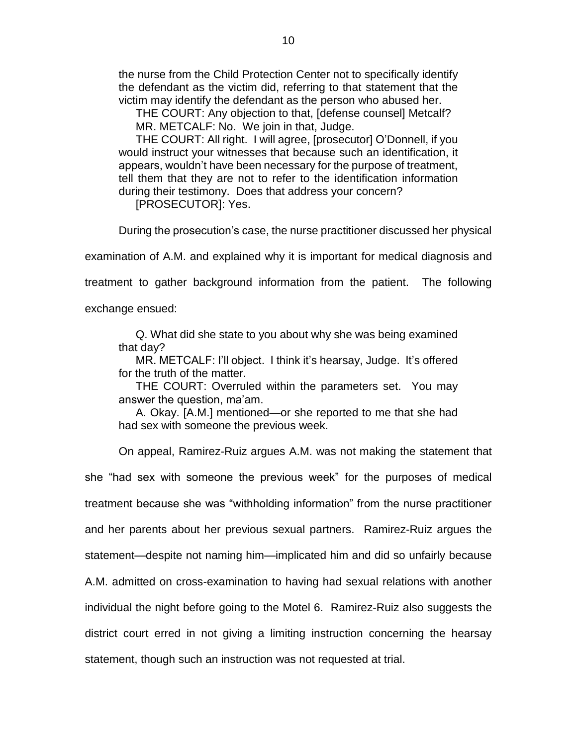the nurse from the Child Protection Center not to specifically identify the defendant as the victim did, referring to that statement that the victim may identify the defendant as the person who abused her.

THE COURT: Any objection to that, [defense counsel] Metcalf? MR. METCALF: No. We join in that, Judge.

THE COURT: All right. I will agree, [prosecutor] O'Donnell, if you would instruct your witnesses that because such an identification, it appears, wouldn't have been necessary for the purpose of treatment, tell them that they are not to refer to the identification information during their testimony. Does that address your concern?

[PROSECUTOR]: Yes.

During the prosecution's case, the nurse practitioner discussed her physical

examination of A.M. and explained why it is important for medical diagnosis and

treatment to gather background information from the patient. The following

exchange ensued:

Q. What did she state to you about why she was being examined that day?

MR. METCALF: I'll object. I think it's hearsay, Judge. It's offered for the truth of the matter.

THE COURT: Overruled within the parameters set. You may answer the question, ma'am.

A. Okay. [A.M.] mentioned—or she reported to me that she had had sex with someone the previous week.

On appeal, Ramirez-Ruiz argues A.M. was not making the statement that

she "had sex with someone the previous week" for the purposes of medical treatment because she was "withholding information" from the nurse practitioner and her parents about her previous sexual partners. Ramirez-Ruiz argues the statement—despite not naming him—implicated him and did so unfairly because A.M. admitted on cross-examination to having had sexual relations with another individual the night before going to the Motel 6. Ramirez-Ruiz also suggests the district court erred in not giving a limiting instruction concerning the hearsay statement, though such an instruction was not requested at trial.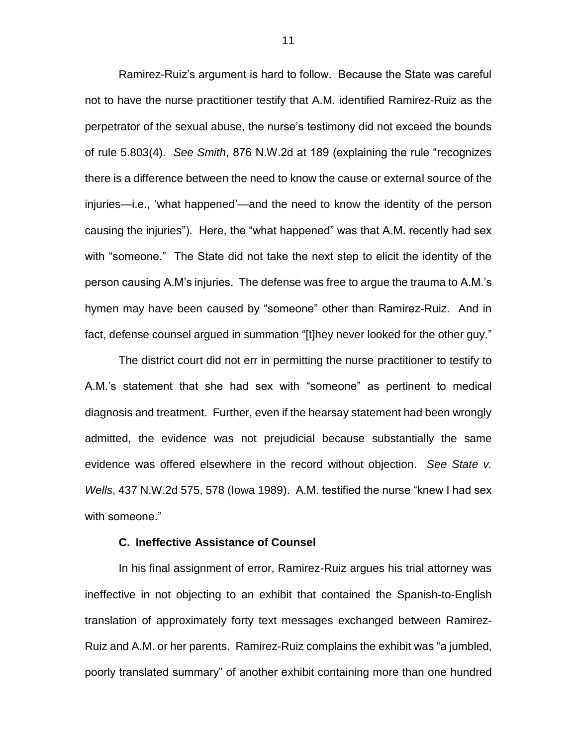Ramirez-Ruiz's argument is hard to follow. Because the State was careful not to have the nurse practitioner testify that A.M. identified Ramirez-Ruiz as the perpetrator of the sexual abuse, the nurse's testimony did not exceed the bounds of rule 5.803(4). *See Smith*, 876 N.W.2d at 189 (explaining the rule "recognizes there is a difference between the need to know the cause or external source of the injuries—i.e., 'what happened'—and the need to know the identity of the person causing the injuries"). Here, the "what happened" was that A.M. recently had sex with "someone." The State did not take the next step to elicit the identity of the person causing A.M's injuries. The defense was free to argue the trauma to A.M.'s hymen may have been caused by "someone" other than Ramirez-Ruiz. And in fact, defense counsel argued in summation "[t]hey never looked for the other guy."

The district court did not err in permitting the nurse practitioner to testify to A.M.'s statement that she had sex with "someone" as pertinent to medical diagnosis and treatment. Further, even if the hearsay statement had been wrongly admitted, the evidence was not prejudicial because substantially the same evidence was offered elsewhere in the record without objection. *See State v. Wells*, 437 N.W.2d 575, 578 (Iowa 1989). A.M. testified the nurse "knew I had sex with someone."

#### **C. Ineffective Assistance of Counsel**

In his final assignment of error, Ramirez-Ruiz argues his trial attorney was ineffective in not objecting to an exhibit that contained the Spanish-to-English translation of approximately forty text messages exchanged between Ramirez-Ruiz and A.M. or her parents. Ramirez-Ruiz complains the exhibit was "a jumbled, poorly translated summary" of another exhibit containing more than one hundred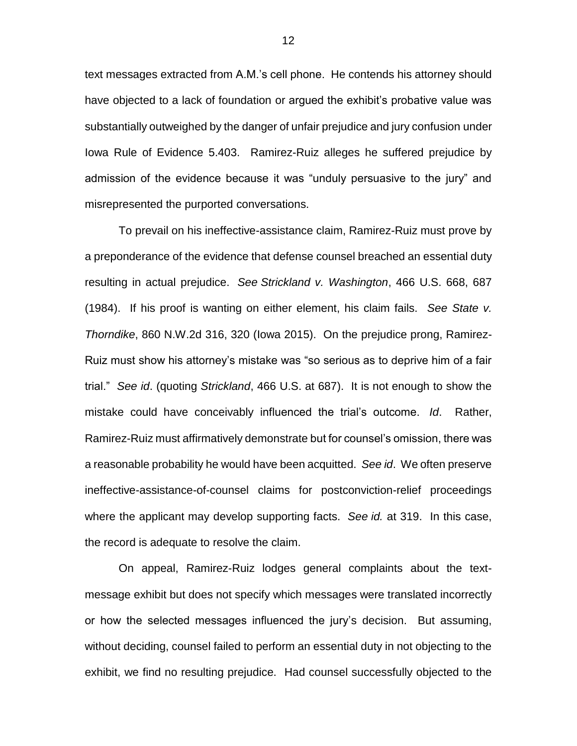text messages extracted from A.M.'s cell phone. He contends his attorney should have objected to a lack of foundation or argued the exhibit's probative value was substantially outweighed by the danger of unfair prejudice and jury confusion under Iowa Rule of Evidence 5.403. Ramirez-Ruiz alleges he suffered prejudice by admission of the evidence because it was "unduly persuasive to the jury" and misrepresented the purported conversations.

To prevail on his ineffective-assistance claim, Ramirez-Ruiz must prove by a preponderance of the evidence that defense counsel breached an essential duty resulting in actual prejudice. *See Strickland v. Washington*, 466 U.S. 668, 687 (1984). If his proof is wanting on either element, his claim fails. *See State v. Thorndike*, 860 N.W.2d 316, 320 (Iowa 2015). On the prejudice prong, Ramirez-Ruiz must show his attorney's mistake was "so serious as to deprive him of a fair trial." *See id*. (quoting *Strickland*, 466 U.S. at 687). It is not enough to show the mistake could have conceivably influenced the trial's outcome. *Id*. Rather, Ramirez-Ruiz must affirmatively demonstrate but for counsel's omission, there was a reasonable probability he would have been acquitted. *See id*. We often preserve ineffective-assistance-of-counsel claims for postconviction-relief proceedings where the applicant may develop supporting facts. *See id.* at 319. In this case, the record is adequate to resolve the claim.

On appeal, Ramirez-Ruiz lodges general complaints about the textmessage exhibit but does not specify which messages were translated incorrectly or how the selected messages influenced the jury's decision. But assuming, without deciding, counsel failed to perform an essential duty in not objecting to the exhibit, we find no resulting prejudice. Had counsel successfully objected to the

12